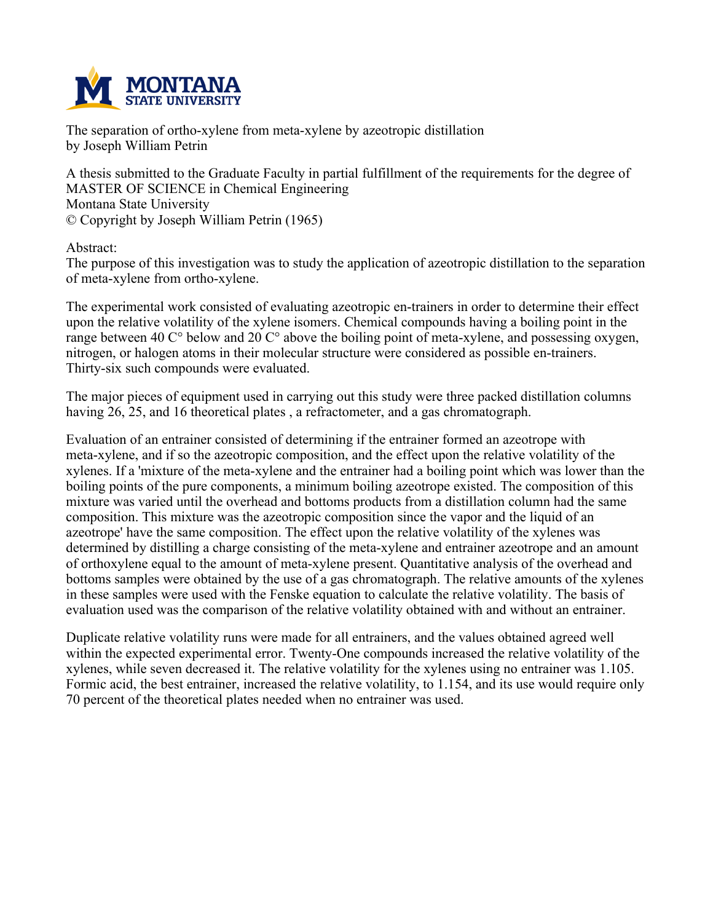

**The separation of ortho-xylene from meta-xylene by azeotropic distillation by Joseph William Petrin**

**A thesis submitted to the Graduate Faculty in partial fulfillment of the requirements for the degree of MASTER OF SCIENCE in Chemical Engineering Montana State University © Copyright by Joseph William Petrin (1965)**

**Abstract:**

**The purpose of this investigation was to study the application of azeotropic distillation to the separation of meta-xylene from ortho-xylene.**

**The experimental work consisted of evaluating azeotropic en-trainers in order to determine their effect upon the relative volatility of the xylene isomers. Chemical compounds having a boiling point in the range between 40 C° below and 20 C° above the boiling point of meta-xylene, and possessing oxygen, nitrogen, or halogen atoms in their molecular structure were considered as possible en-trainers. Thirty-six such compounds were evaluated.**

**The major pieces of equipment used in carrying out this study were three packed distillation columns having 26, 25, and 16 theoretical plates , a refractometer, and a gas chromatograph.**

**Evaluation of an entrainer consisted of determining if the entrainer formed an azeotrope with meta-xylene, and if so the azeotropic composition, and the effect upon the relative volatility of the** xylenes. If a 'mixture of the meta-xylene and the entrainer had a boiling point which was lower than the **boiling points of the pure components, a minimum boiling azeotrope existed. The composition of this mixture was varied until the overhead and bottoms products from a distillation column had the same composition. This mixture was the azeotropic composition since the vapor and the liquid of an azeotrope' have the same composition. The effect upon the relative volatility of the xylenes was determined by distilling a charge consisting of the meta-xylene and entrainer azeotrope and an amount of orthoxylene equal to the amount of meta-xylene present. Quantitative analysis of the overhead and bottoms samples were obtained by the use of a gas chromatograph. The relative amounts of the xylenes in these samples were used with the Fenske equation to calculate the relative volatility. The basis of evaluation used was the comparison of the relative volatility obtained with and without an entrainer.**

**Duplicate relative volatility runs were made for all entrainers, and the values obtained agreed well within the expected experimental error. Twenty-One compounds increased the relative volatility of the xylenes, while seven decreased it. The relative volatility for the xylenes using no entrainer was 1.105.** Formic acid, the best entrainer, increased the relative volatility, to 1.154, and its use would require only **70 percent of the theoretical plates needed when no entrainer was used.**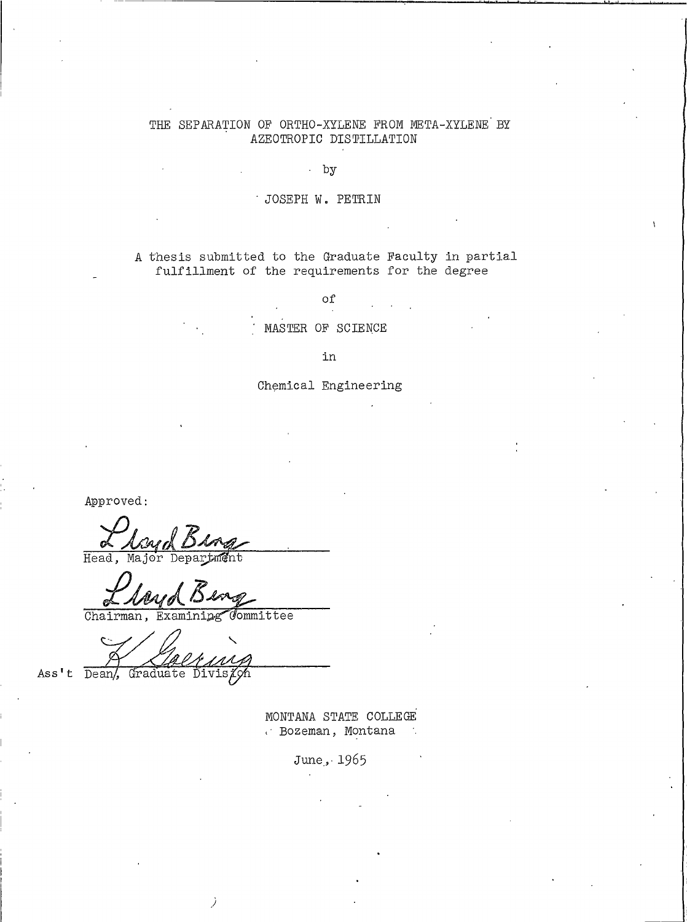## THE SEPARATION OF ORTHO-XYLENE FROM META-XYLENE BY AZEOTROPIC DISTILLATION

 $by$ 

### · JOSEPH W. PETRIN

A thesis submitted to the Graduate Faculty in partial fulfillment of the requirements for the degree

of

MASTER OF SCIENCE

in

Chemical Engineering

Approved:

Head, Ma f Depar tmént

Chairman, Examining Committee

Ass't Dean/, Graduate Division

> MONTANA STATE COLLEGE  $\cdot$  Bozeman, Montana

> > June, 1965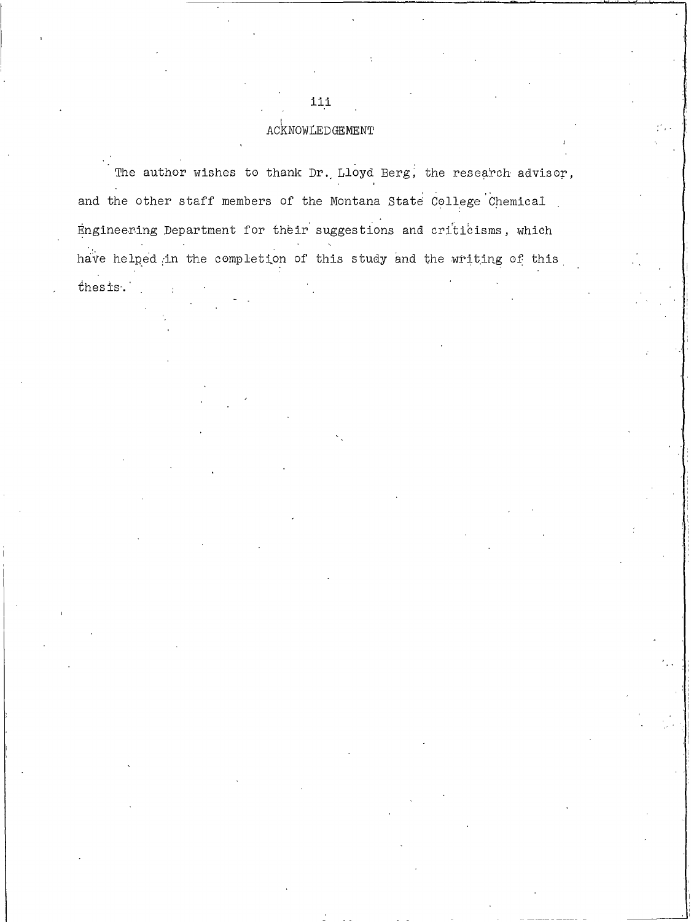## ACKNOWLEDGEMENT

iii

The author wishes to thank Dr. Lloyd Berg, the research advisor, and the other staff members of the Montana State College Chemical Engineering Department for their suggestions and criticisms, which have helped in the completion of this study and the writing of this

thesis.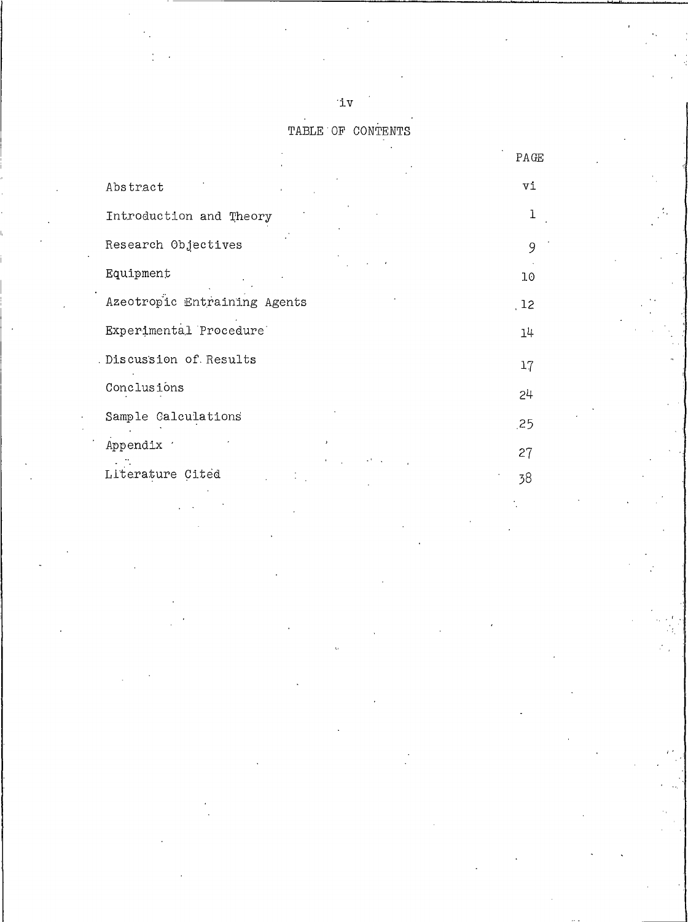$\mathbf{u}$ 

TABLE OF CONTENTS

|                              | $\mathop{\mathrm{PA}}\nolimits \mathop{\mathrm{GE}}$ |
|------------------------------|------------------------------------------------------|
| Abstract                     | Vi                                                   |
| Introduction and Theory      | 1                                                    |
| Research Objectives          | 9                                                    |
| Equipment                    | 10                                                   |
| Azeotropic Entraining Agents | 12                                                   |
| Experimental Procedure       | 14                                                   |
| Discussion of Results        | 17                                                   |
| Conclusions                  | 24                                                   |
| Sample Calculations          | .25                                                  |
| Appendix '                   | 27                                                   |
| Literature Cited             | 38                                                   |
|                              |                                                      |
|                              |                                                      |
|                              |                                                      |
|                              |                                                      |
|                              |                                                      |
|                              |                                                      |
|                              |                                                      |
|                              |                                                      |
|                              |                                                      |
|                              |                                                      |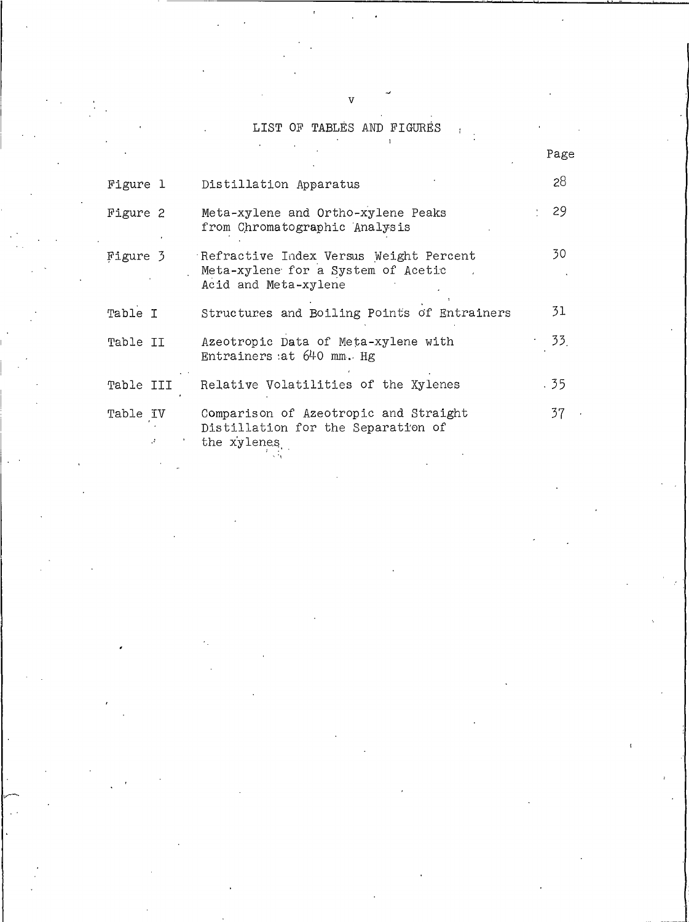## LIST OF TABLES AND FIGURES  $\mathcal{A}^{\text{max}}$  and  $\mathcal{A}^{\text{max}}$

|           |                                                                                                      | Page |
|-----------|------------------------------------------------------------------------------------------------------|------|
| Figure 1  | Distillation Apparatus                                                                               | 28   |
| Figure 2  | Meta-xylene and Ortho-xylene Peaks<br>from Chromatographic Analysis                                  | -29  |
| Figure 3  | Refractive Index Versus Weight Percent<br>Meta-xylene for a System of Acetic<br>Acid and Meta-xylene | 30.  |
| Table I   | Structures and Boiling Points of Entrainers                                                          | 31   |
| Table II  | Azeotropic Data of Meta-xylene with<br>Entrainers at $640$ mm. Hg                                    | 33.  |
| Table III | Relative Volatilities of the Xylenes                                                                 | .35  |
| Table IV  | Comparison of Azeotropic and Straight<br>Distillation for the Separation of<br>the xylenes           | 37   |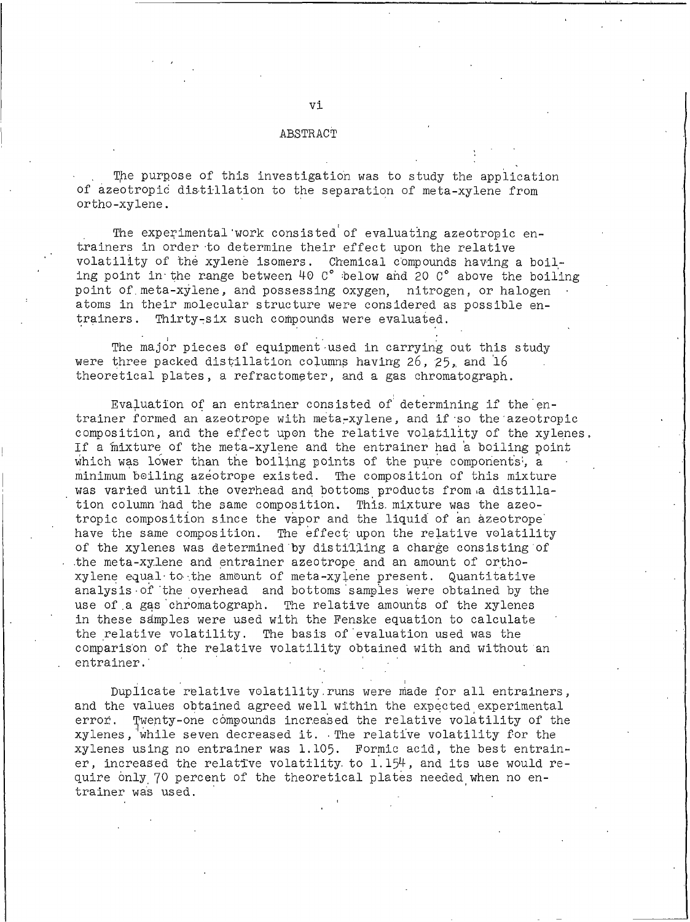#### ABSTRACT

The purpose of this investigation was to study the application of azeotropic distillation to the separation of meta-xylene from ortho-xylene.

The experimental work consisted of evaluating azeotropic entrainers in order to determine their effect upon the relative volatility of the xylene isomers. Chemical compounds having a boiling point in the range between 40 C° below and 20 C° above the boiling point of meta-xylene, and possessing oxygen. nitrogen, or halogen atoms in their molecular structure were considered as possible entrainers. Thirty-six such compounds were evaluated.

The major pieces of equipment used in carrying out this study were three packed distillation columns having 26, 25, and 16 theoretical plates, a refractometer, and a gas chromatograph.

Evaluation of an entrainer consisted of determining if the entrainer formed an azeotrope with meta-xylene, and if so the azeotropic composition, and the effect upon the relative volatility of the xylenes. If a mixture of the meta-xylene and the entrainer had a boiling point which was lower than the boiling points of the pure components', a minimum boiling azeotrope existed. The composition of this mixture was varied until the overhead and bottoms products from a distillation column had the same composition. This mixture was the azeotropic composition since the vapor and the liquid of an azeotrope have the same composition. The effect upon the relative volatility of the xylenes was determined by distilling a charge consisting of the meta-xylene and entrainer azeotrope and an amount of orthoxylene equal to the amount of meta-xylene present. Quantitative analysis of the overhead and bottoms samples were obtained by the use of a gas chromatograph. The relative amounts of the xylenes in these samples were used with the Fenske equation to calculate the relative volatility. The basis of evaluation used was the comparison of the relative volatility obtained with and without an entrainer.

Duplicate relative volatility runs were made for all entrainers, and the values obtained agreed well within the expected experimental Twenty-one compounds increased the relative volatility of the error. xylenes, while seven decreased it. The relative volatility for the xylenes using no entrainer was 1.105. Formic acid, the best entrainer, increased the relative volatility to 1.154, and its use would require only 70 percent of the theoretical plates needed when no entrainer was used.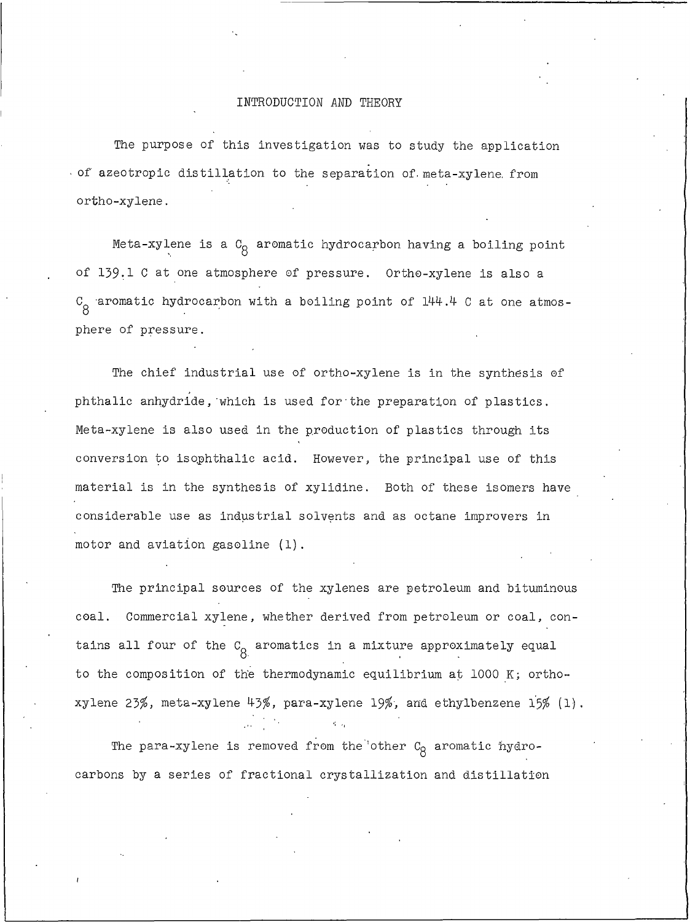#### INTRODUCTION AND THEORY

The purpose of this investigation was to study the application of azeotropic distillation to the separation of meta-xylene from ortho-xylene.

Meta-xylene is a  $C_{\alpha}$  aromatic hydrocarbon having a boiling point of 139.1 C at one atmosphere of pressure. Ortho-xylene is also a  $C_{\alpha}$  aromatic hydrocarbon with a boiling point of 144.4 C at one atmosphere of pressure.

The chief industrial use of ortho-xylene is in the synthesis of phthalic anhydride, which is used for the preparation of plastics. Meta-xylene is also used in the production of plastics through its conversion to isophthalic acid. However, the principal use of this material is in the synthesis of xylidine. Both of these isomers have considerable use as industrial solvents and as octane improvers in motor and aviation gasoline (1).

The principal sources of the xylenes are petroleum and bituminous coal. Commercial xylene, whether derived from petroleum or coal, contains all four of the  $C_{\alpha}$  aromatics in a mixture approximately equal to the composition of the thermodynamic equilibrium at 1000 K; orthoxylene 23%, meta-xylene 43%, para-xylene 19%, and ethylbenzene  $15% (1)$ .

The para-xylene is removed from the other  $c_8$  aromatic hydrocarbons by a series of fractional crystallization and distillation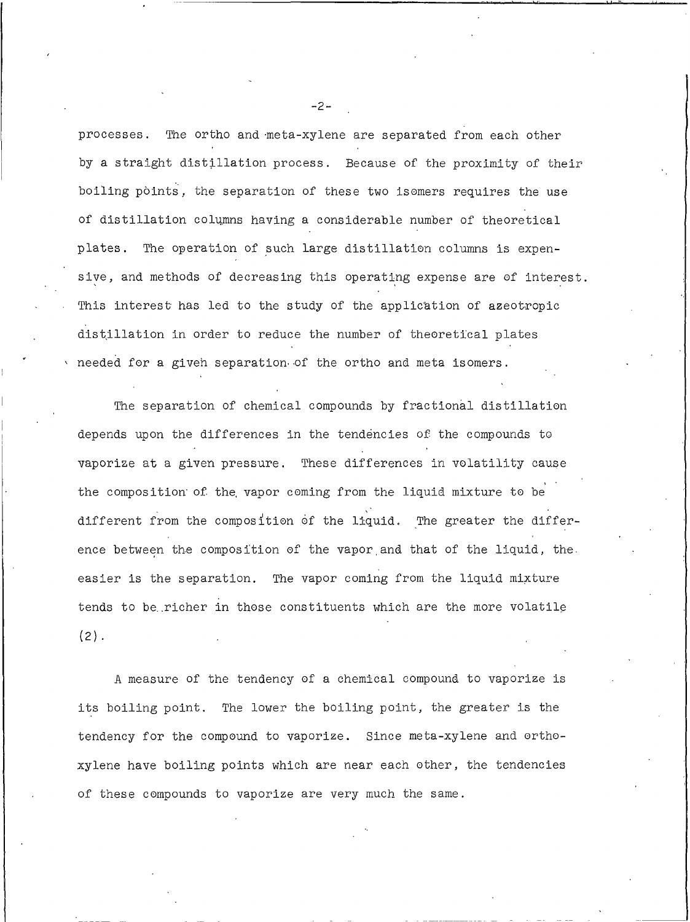processes. The ortho and meta-xylene are separated from each other by a straight distillation process. Because of the proximity of their boiling points, the separation of these two isomers requires the use of distillation columns having a considerable number of theoretical plates. The operation of such large distillation columns is expensive, and methods of decreasing this operating expense are of interest. This interest has led to the study of the application of azeotropic distillation in order to reduce the number of theoretical plates needed for a given separation of the ortho and meta isomers.

The separation of chemical compounds by fractional distillation depends upon the differences in the tendencies of the compounds to vaporize at a given pressure. These differences in volatility cause the composition of the vapor coming from the liquid mixture to be different from the composition of the liquid. The greater the difference between the composition of the vapor and that of the liquid, the easier is the separation. The vapor coming from the liquid mixture tends to be richer in those constituents which are the more volatile  $(2)$ .

A measure of the tendency of a chemical compound to vaporize is its boiling point. The lower the boiling point, the greater is the tendency for the compound to vaporize. Since meta-xylene and orthoxylene have boiling points which are near each other, the tendencies of these compounds to vaporize are very much the same.

 $-2-$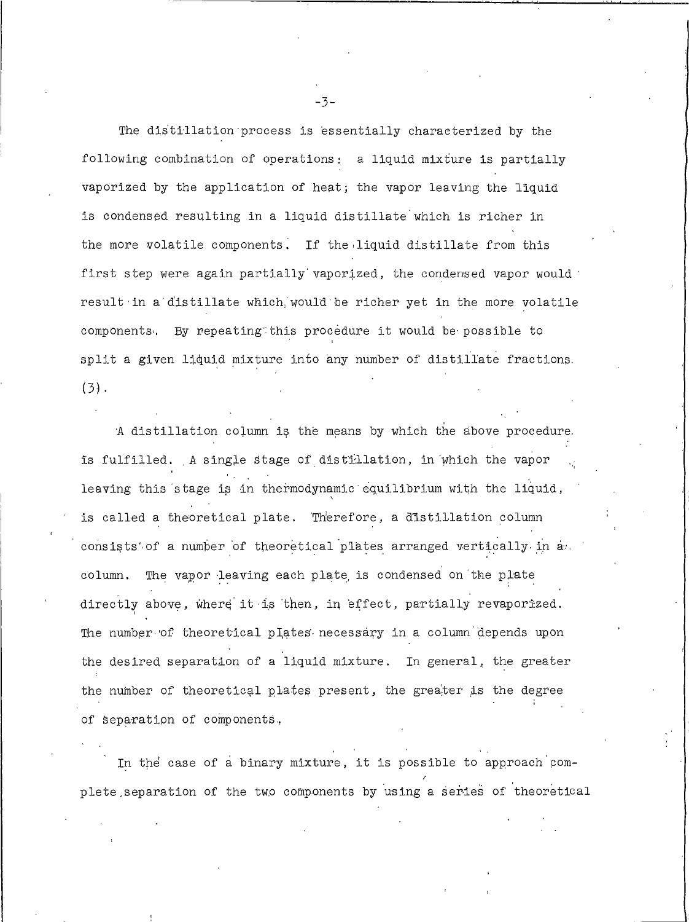The distillation process is essentially characterized by the following combination of operations: a liquid mixture is partially vaporized by the application of heat; the vapor leaving the liquid is condensed resulting in a liquid distillate which is richer in the more volatile components. If the liquid distillate from this first step were again partially vaporized, the condensed vapor would result in a distillate which would be richer yet in the more volatile components. By repeating this procedure it would be possible to split a given liquid mixture into any number of distillate fractions.  $(3)$ .

A distillation column is the means by which the above procedure. is fulfilled. A single stage of distillation, in which the vapor leaving this stage is in thermodynamic equilibrium with the liquid, is called a theoretical plate. Therefore, a distillation column consists of a number of theoretical plates arranged vertically in a column. The vapor leaving each plate is condensed on the plate directly above, where it is then, in effect, partially revaporized. The number of theoretical plates necessary in a column depends upon the desired separation of a liquid mixture. In general, the greater the number of theoretical plates present, the greater is the degree of separation of components,

In the case of a binary mixture, it is possible to approach complete separation of the two components by using a series of theoretical

 $-3-$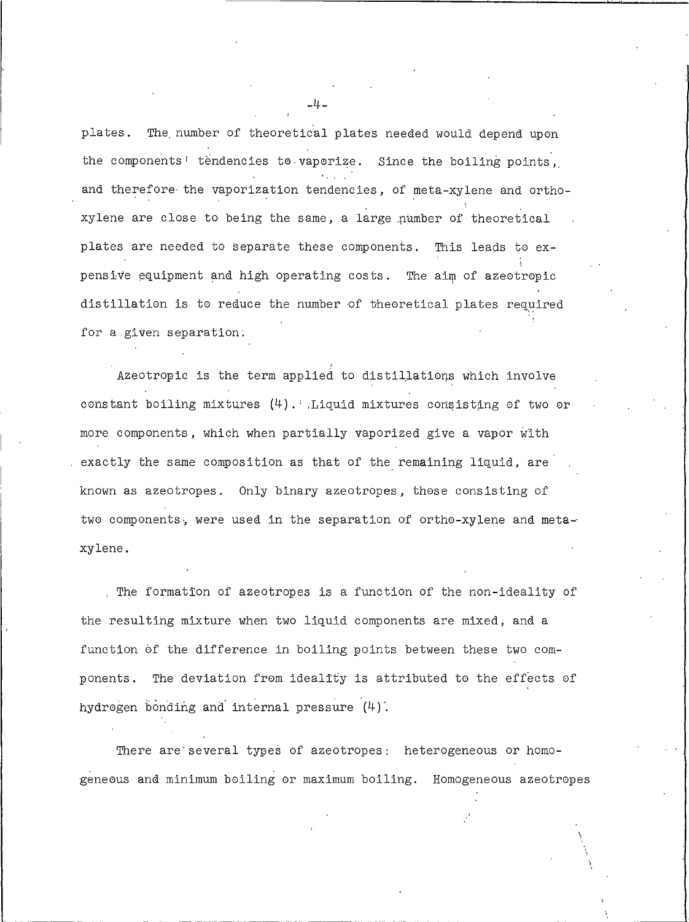plates. The number of theoretical plates needed would depend upon the components' tendencies to vaporize. Since the boiling points, and therefore the vaporization tendencies, of meta-xylene and orthoxylene are close to being the same, a large number of theoretical plates are needed to separate these components. This leads to expensive equipment and high operating costs. The aim of azeotropic distillation is to reduce the number of theoretical plates required for a given separation.

Azeotropic is the term applied to distillations which involve constant boiling mixtures  $(4)$ . Liquid mixtures consisting of two or more components, which when partially vaporized give a vapor with exactly the same composition as that of the remaining liquid, are known as azeotropes. Only binary azeotropes, those consisting of two components, were used in the separation of ortho-xylene and metaxylene.

. The formation of azeotropes is a function of the non-ideality of the resulting mixture when two liquid components are mixed, and a function of the difference in boiling points between these two components. The deviation from ideality is attributed to the effects of hydrogen bonding and internal pressure (4).

There are several types of azeotropes: heterogeneous or homogeneous and minimum boiling or maximum boiling. Homogeneous azeotropes

-4-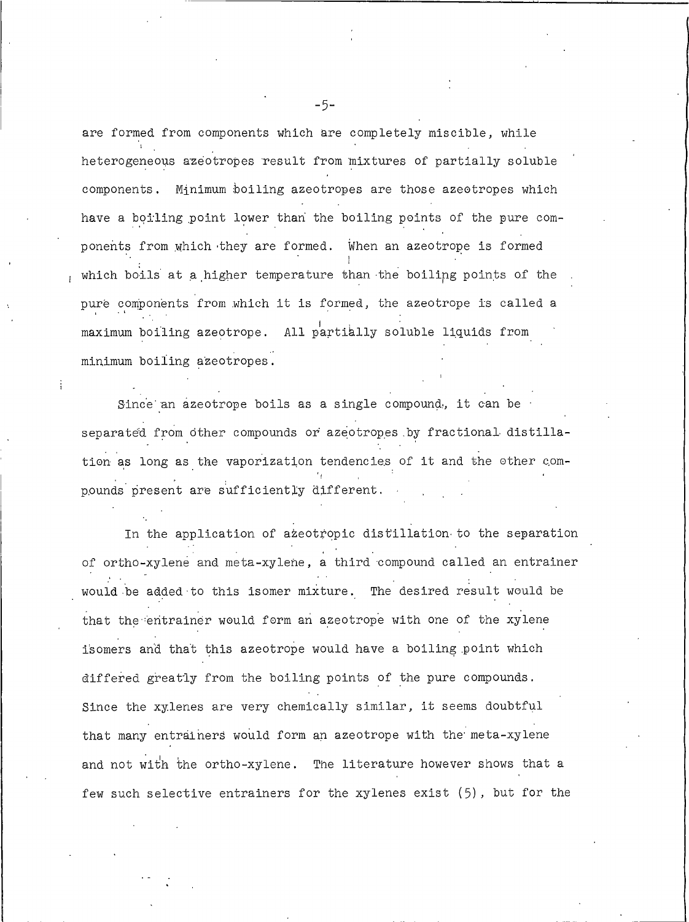are formed from components which are completely miscible, while heterogeneous azeotropes result from mixtures of partially soluble components. Minimum boiling azeotropes are those azeotropes which have a boiling point lower than the boiling points of the pure components from which they are formed. When an azeotrope is formed which boils at a higher temperature than the boiling points of the pure components from which it is formed, the azeotrope is called a maximum boiling azeotrope. All partially soluble liquids from minimum boiling azeotropes.

Since an azeotrope boils as a single compound, it can be separated from other compounds or azeotropes by fractional distillation as long as the vaporization tendencies of it and the other compounds present are sufficiently different.

In the application of azeotropic distillation to the separation of ortho-xylene and meta-xylene, a third compound called an entrainer would be added to this isomer mixture. The desired result would be that the entrainer would form an azeotrope with one of the xylene isomers and that this azeotrope would have a boiling point which differed greatly from the boiling points of the pure compounds. Since the xylenes are very chemically similar, it seems doubtful that many entrainers would form an azeotrope with the meta-xylene and not with the ortho-xylene. The literature however shows that a few such selective entrainers for the xylenes exist (5), but for the

 $-5-$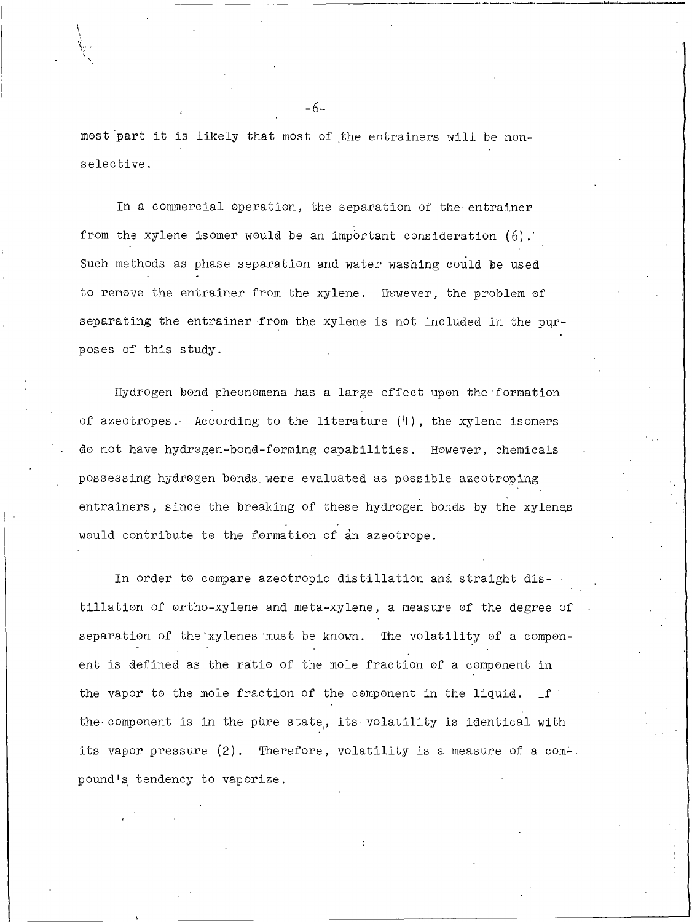most part it is likely that most of the entrainers will be nonselective.

In a commercial operation, the separation of the entrainer from the xylene isomer would be an important consideration  $(6)$ . Such methods as phase separation and water washing could be used to remove the entrainer from the xylene. However, the problem of separating the entrainer from the xylene is not included in the purposes of this study.

Hydrogen bond pheonomena has a large effect upon the formation of azeotropes. According to the literature  $(4)$ , the xylene isomers do not have hydrogen-bond-forming capabilities. However, chemicals possessing hydrogen bonds were evaluated as possible azeotroping entrainers, since the breaking of these hydrogen bonds by the xylenes would contribute to the formation of an azeotrope.

In order to compare azeotropic distillation and straight distillation of ortho-xylene and meta-xylene, a measure of the degree of separation of the xylenes must be known. The volatility of a component is defined as the ratio of the mole fraction of a component in the vapor to the mole fraction of the component in the liquid. If the component is in the pure state, its volatility is identical with its vapor pressure (2). Therefore, volatility is a measure of a com-. pound's tendency to vaporize.

 $-6-$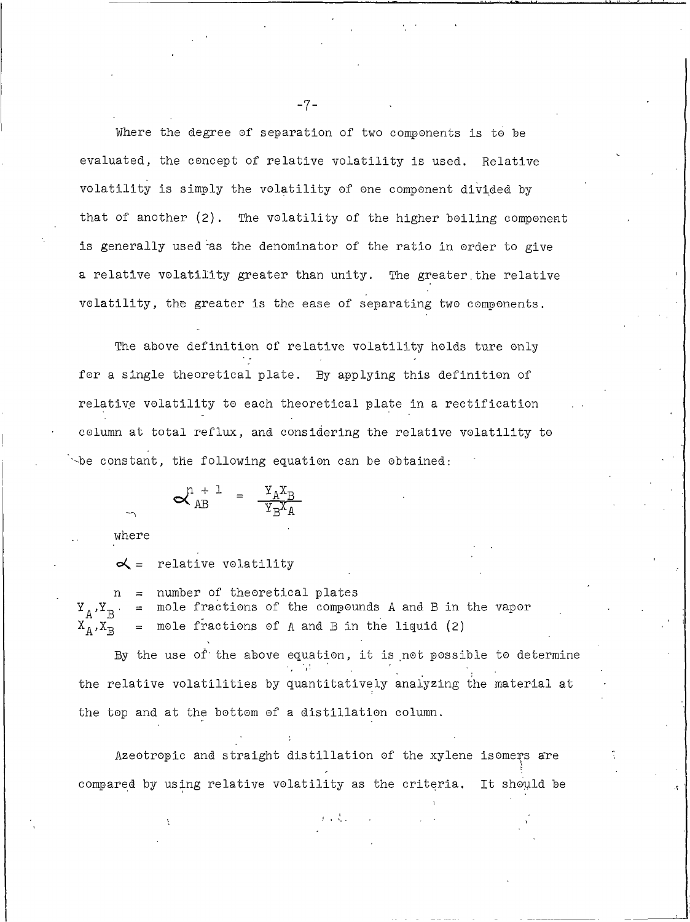Where the degree of separation of two components is to be evaluated, the concept of relative volatility is used. Relative volatility is simply the volatility of one component divided by that of another (2). The volatility of the higher boiling component is generally used as the denominator of the ratio in order to give a relative volatility greater than unity. The greater the relative volatility, the greater is the ease of separating two components.

The above definition of relative volatility holds ture only for a single theoretical plate. By applying this definition of relative volatility to each theoretical plate in a rectification column at total reflux, and considering the relative volatility to be constant, the following equation can be obtained:

$$
\mathbf{A}_{AB}^{n+1} = \frac{\mathbf{Y}_A \mathbf{X}_B}{\mathbf{Y}_B \mathbf{X}_A}
$$

where

relative volatility  $\alpha$  =

number of theoretical plates mole fractions of the compounds A and B in the vapor  ${\tt Y}_{\tt A}$  ,  ${\tt Y}_{\tt B}$  $=$ mole fractions of A and B in the liquid (2)  $X_A, X_B$  $=$ 

By the use of the above equation, it is not possible to determine the relative volatilities by quantitatively analyzing the material at the top and at the bottom of a distillation column.

Azeotropic and straight distillation of the xylene isomers are compared by using relative volatility as the criteria. It should be

 $-7-$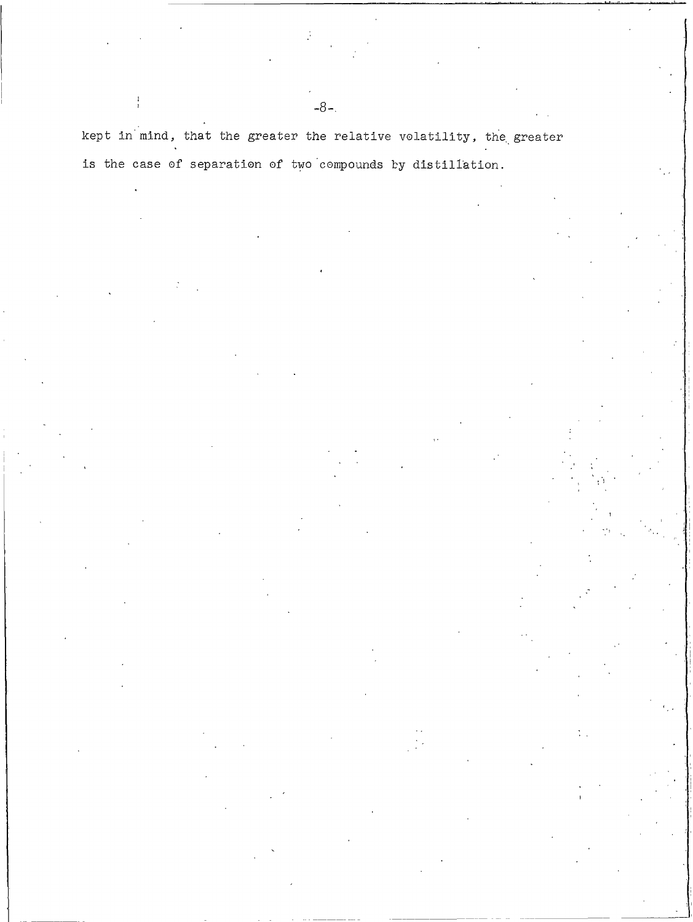kept in mind, that the greater the relative volatility, the greater is the case of separation of two compounds by distillation.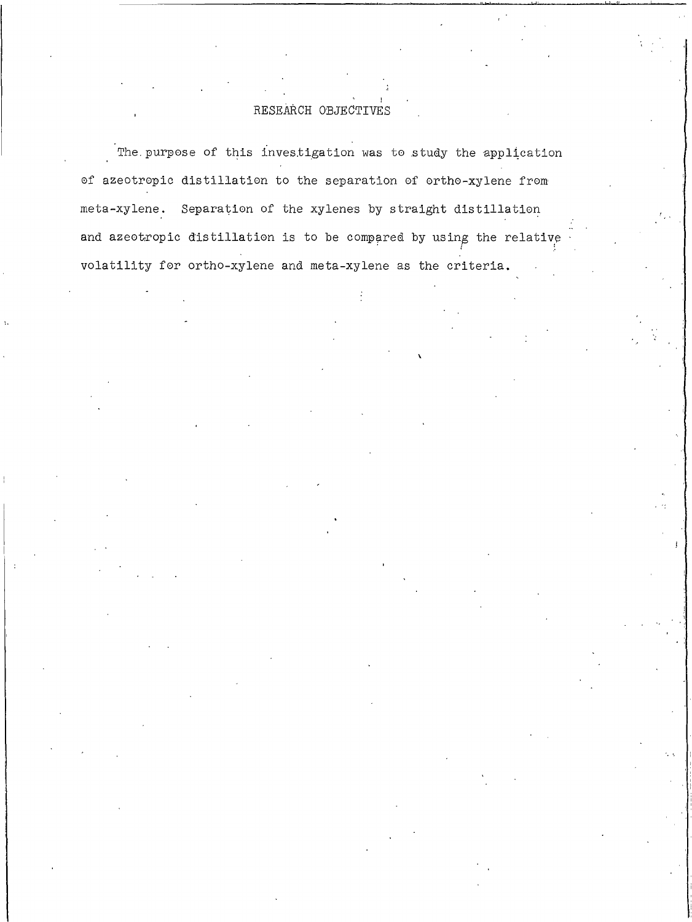## RESEARCH OBJECTIVES

The purpose of this investigation was to study the application of azeotropic distillation to the separation of ortho-xylene from meta-xylene. Separation of the xylenes by straight distillation and azeotropic distillation is to be compared by using the relative volatility for ortho-xylene and meta-xylene as the criteria.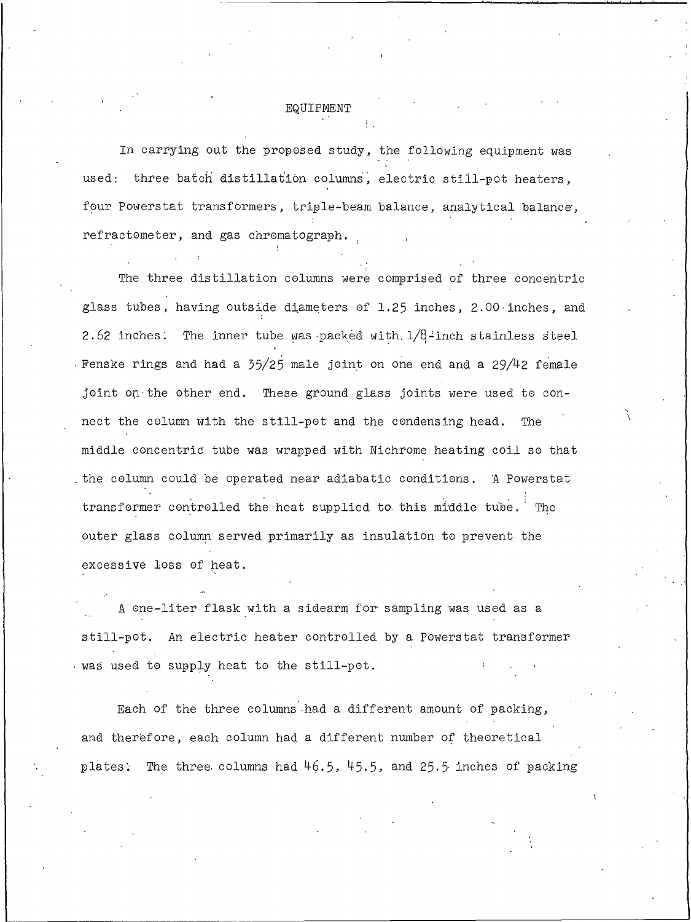### EQUIPMENT

In carrying out the proposed study, the following equipment was used: three batch distillation columns, electric still-pot heaters, four Powerstat transformers, triple-beam balance, analytical balance, refractometer, and gas chromatograph.

The three distillation columns were comprised of three concentric glass tubes, having outside diameters of 1.25 inches, 2.00 inches, and 2.62 inches. The inner tube was packed with  $1/8$ -inch stainless steel Fenske rings and had a 35/25 male joint on one end and a 29/42 female joint on the other end. These ground glass joints were used to connect the column with the still-pot and the condensing head. The middle concentric tube was wrapped with Nichrome heating coil so that the column could be operated near adiabatic conditions. A Powerstat transformer controlled the heat supplied to this middle tube. The outer glass column served primarily as insulation to prevent the excessive loss of heat.

A one-liter flask with a sidearm for sampling was used as a still-pot. An electric heater controlled by a Powerstat transformer was used to supply heat to the still-pot.

Each of the three columns had a different amount of packing, and therefore, each column had a different number of theoretical plates: The three columns had  $46.5$ ,  $45.5$ , and 25.5 inches of packing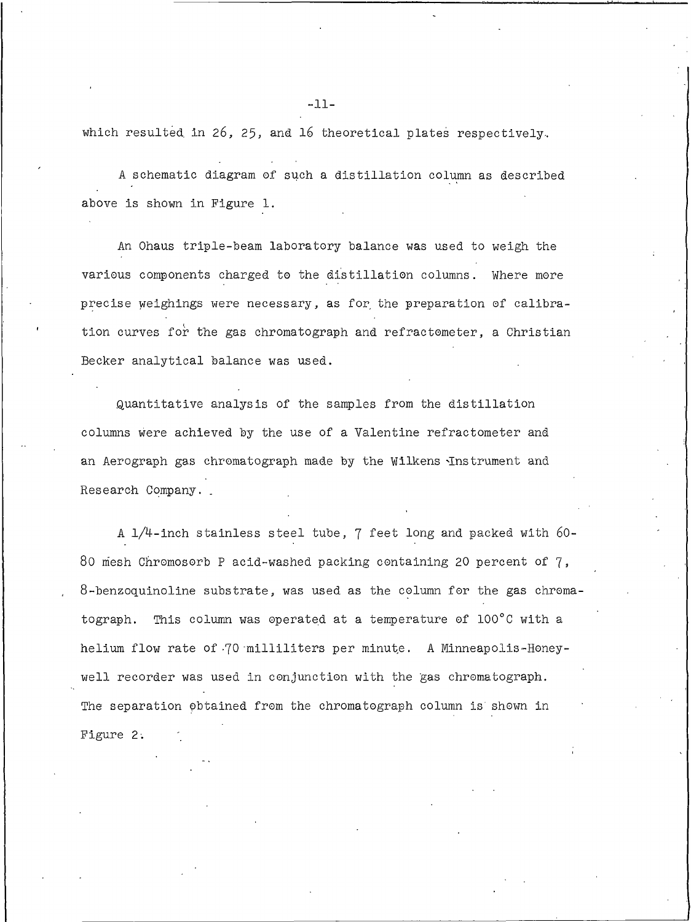which resulted in 26, 25, and 16 theoretical plates respectively.

A schematic diagram of such a distillation column as described above is shown in Figure 1.

An Ohaus triple-beam laboratory balance was used to weigh the various components charged to the distillation columns. Where more precise weighings were necessary, as for the preparation of calibration curves for the gas chromatograph and refractometer, a Christian Becker analytical balance was used.

Quantitative analysis of the samples from the distillation columns were achieved by the use of a Valentine refractometer and an Aerograph gas chromatograph made by the Wilkens Instrument and Research Company.

A 1/4-inch stainless steel tube, 7 feet long and packed with 60-80 mesh Chromosorb P acid-washed packing containing 20 percent of 7, 8-benzoquinoline substrate, was used as the column for the gas chromatograph. This column was operated at a temperature of 100°C with a helium flow rate of 70 milliliters per minute. A Minneapolis-Honeywell recorder was used in conjunction with the gas chromatograph. The separation obtained from the chromatograph column is shown in Figure 2.

 $-11-$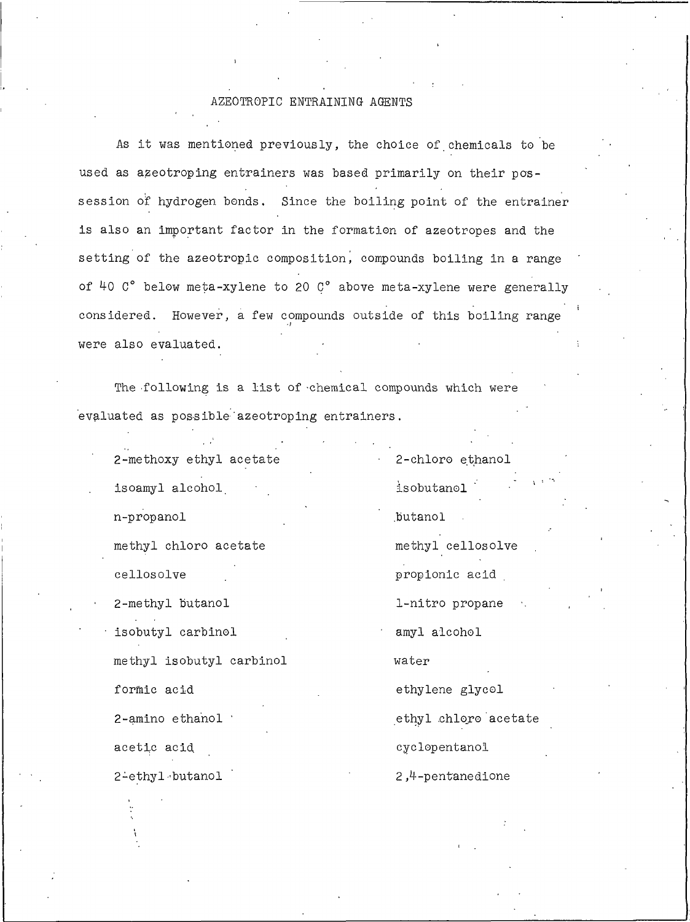## AZEOTROPIC ENTRAINING AGENTS

As it was mentioned previously, the choice of chemicals to be used as azeotroping entrainers was based primarily on their possession of hydrogen bonds. Since the boiling point of the entrainer is also an important factor in the formation of azeotropes and the setting of the azeotropic composition, compounds boiling in a range of 40 C° below meta-xylene to 20 C° above meta-xylene were generally considered. However, a few compounds outside of this boiling range were also evaluated.

The following is a list of chemical compounds which were evaluated as possible azeotroping entrainers.

2-methoxy ethyl acetate isoamyl alcohol n-propanol methyl chloro acetate cellosolve

2-methyl butanol isobutyl carbinol methyl isobutyl carbinol formic acid 2-amino ethanol acetic acid

2-ethyl butanol

isobutanol butanol

2-chloro ethanol

methyl cellosolve propionic acid

1-nitro propane

amyl alcohol

water

ethylene glycol

ethyl chloro acetate

cyclopentanol

2,4-pentanedione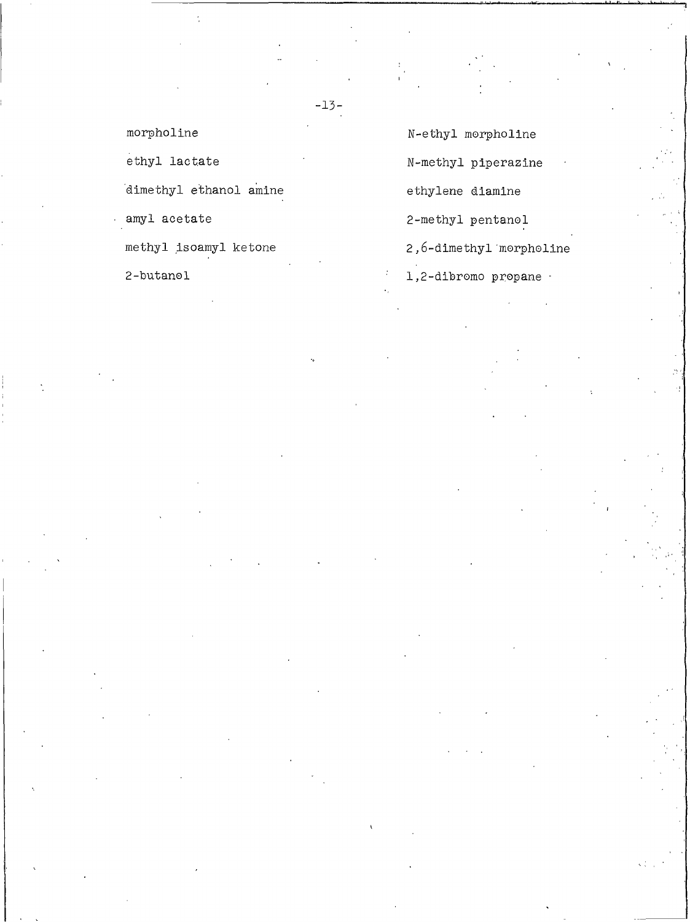morpholine

ethyl lactate

dimethyl ethanol amine

amyl acetate

methyl isoamyl ketone

2-butanol

N-ethyl morpholine

N-methyl piperazine

ethylene diamine

2-methyl pentanol

2,6-dimethyl morpholine

1,2-dibromo propane -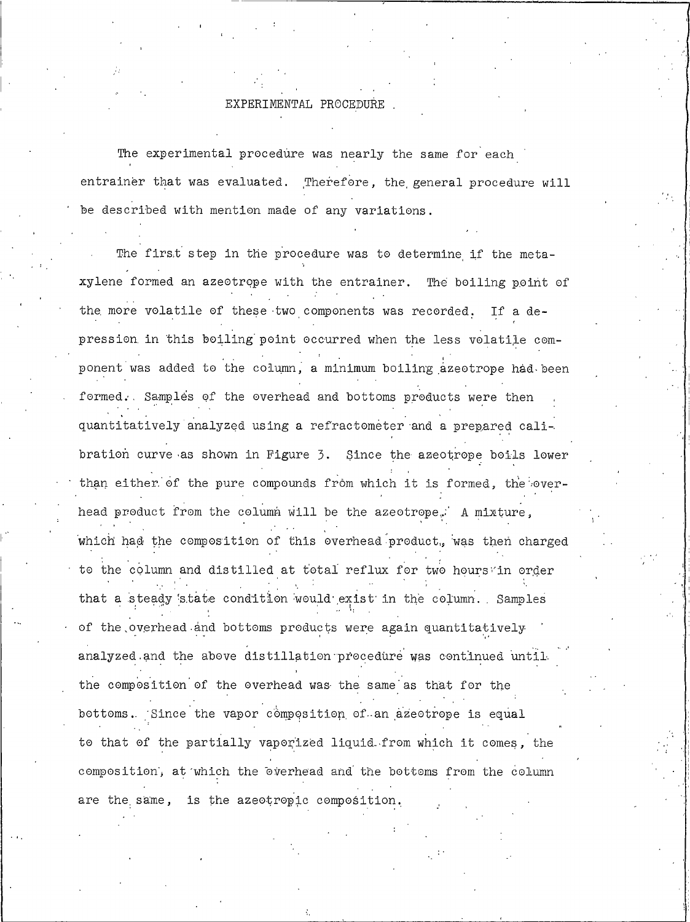#### EXPERIMENTAL PROCEDURE

The experimental procedure was nearly the same for each entrainer that was evaluated. Therefore, the general procedure will be described with mention made of any variations.

The first step in the procedure was to determine if the metaxylene formed an azeotrope with the entrainer. The boiling point of the more volatile of these two components was recorded. If a depression in this boiling point occurred when the less volatile component was added to the column, a minimum boiling azeotrope had been formed. Samples of the overhead and bottoms products were then quantitatively analyzed using a refractometer and a prepared calibration curve as shown in Figure 3. Since the azeotrope boils lower than either of the pure compounds from which it is formed, the overhead product from the column will be the azeotrope. A mixture, which had the composition of this overhead product, was then charged to the column and distilled at total reflux for two hours in order that a steady state condition would exist in the column. Samples of the overhead and bottoms products were again quantitatively analyzed and the above distillation procedure was continued until. the composition of the overhead was the same as that for the bottoms. Since the vapor composition of an azeotrope is equal to that of the partially vaporized liquid from which it comes, the composition, at which the overhead and the bottoms from the column are the same, is the azeotropic composition.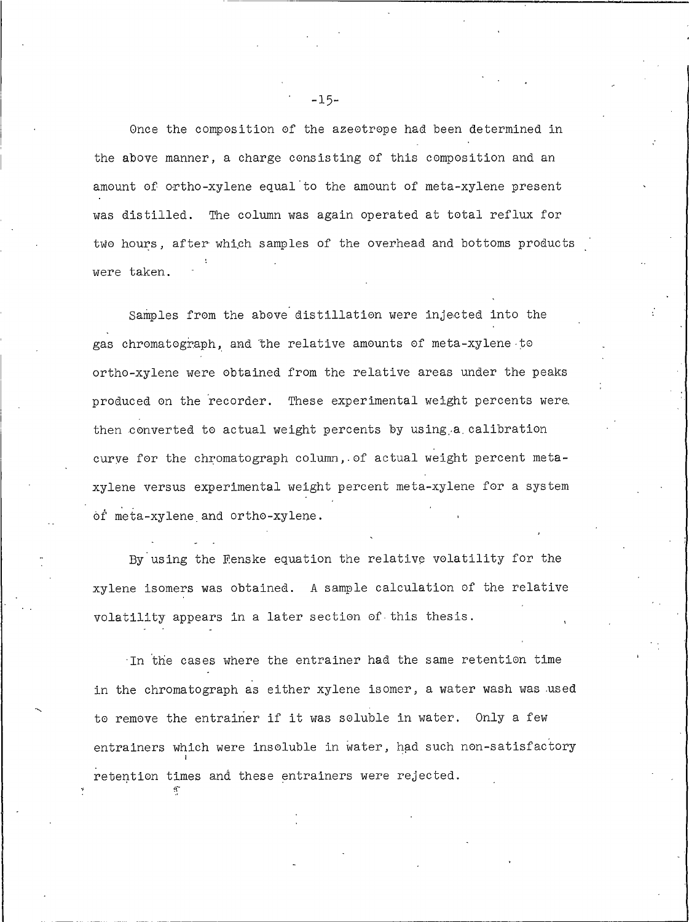Once the composition of the azeotrope had been determined in the above manner, a charge consisting of this composition and an amount of ortho-xylene equal to the amount of meta-xylene present was distilled. The column was again operated at total reflux for two hours, after which samples of the overhead and bottoms products were taken.

Samples from the above distillation were injected into the gas chromatograph, and the relative amounts of meta-xylene to ortho-xylene were obtained from the relative areas under the peaks produced on the recorder. These experimental weight percents were then converted to actual weight percents by using a calibration curve for the chromatograph column, of actual weight percent metaxylene versus experimental weight percent meta-xylene for a system of meta-xylene and ortho-xylene.

By using the Fenske equation the relative volatility for the xylene isomers was obtained. A sample calculation of the relative volatility appears in a later section of this thesis.

In the cases where the entrainer had the same retention time in the chromatograph as either xylene isomer, a water wash was used to remove the entrainer if it was soluble in water. Only a few entrainers which were insoluble in water, had such non-satisfactory retention times and these entrainers were rejected.

 $-15-$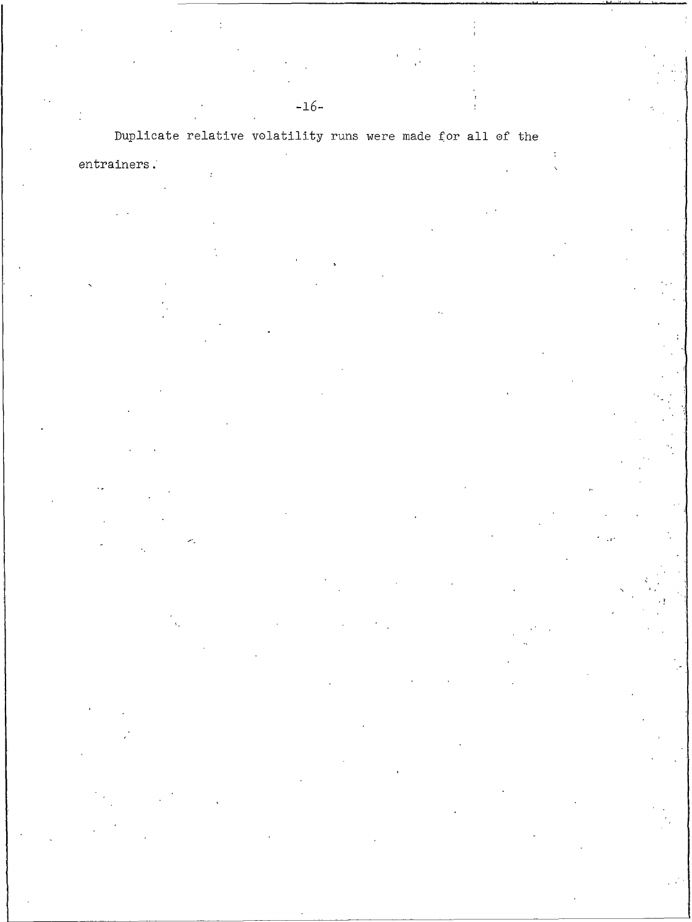# Duplicate relative volatility runs were made for all of the

 $entrainers$  .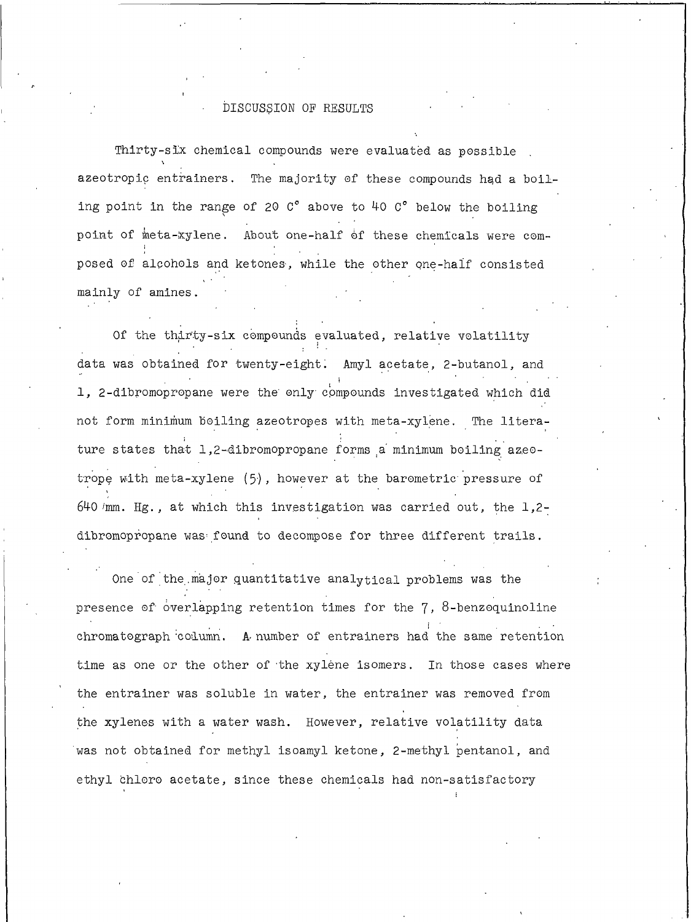### DISCUSSION OF RESULTS

Thirty-six chemical compounds were evaluated as possible azeotropic entrainers. The majority of these compounds had a boiling point in the range of 20  $C^{\circ}$  above to 40  $C^{\circ}$  below the boiling point of meta-xylene. About one-half of these chemicals were composed of alcohols and ketones, while the other one-half consisted mainly of amines.

Of the thirty-six compounds evaluated, relative volatility data was obtained for twenty-eight. Amyl acetate, 2-butanol, and 1, 2-dibromopropane were the only compounds investigated which did not form minimum boiling azeotropes with meta-xylene. The literature states that 1,2-dibromopropane forms a minimum boiling azeotrope with meta-xylene  $(5)$ , however at the barometric pressure of  $640$  /mm. Hg., at which this investigation was carried out, the 1,2dibromopropane was found to decompose for three different trails.

One of the major quantitative analytical problems was the presence of overlapping retention times for the  $7, 8$ -benzoquinoline chromatograph column. A number of entrainers had the same retention time as one or the other of the xylene isomers. In those cases where the entrainer was soluble in water, the entrainer was removed from the xylenes with a water wash. However, relative volatility data was not obtained for methyl isoamyl ketone, 2-methyl pentanol, and ethyl chloro acetate, since these chemicals had non-satisfactory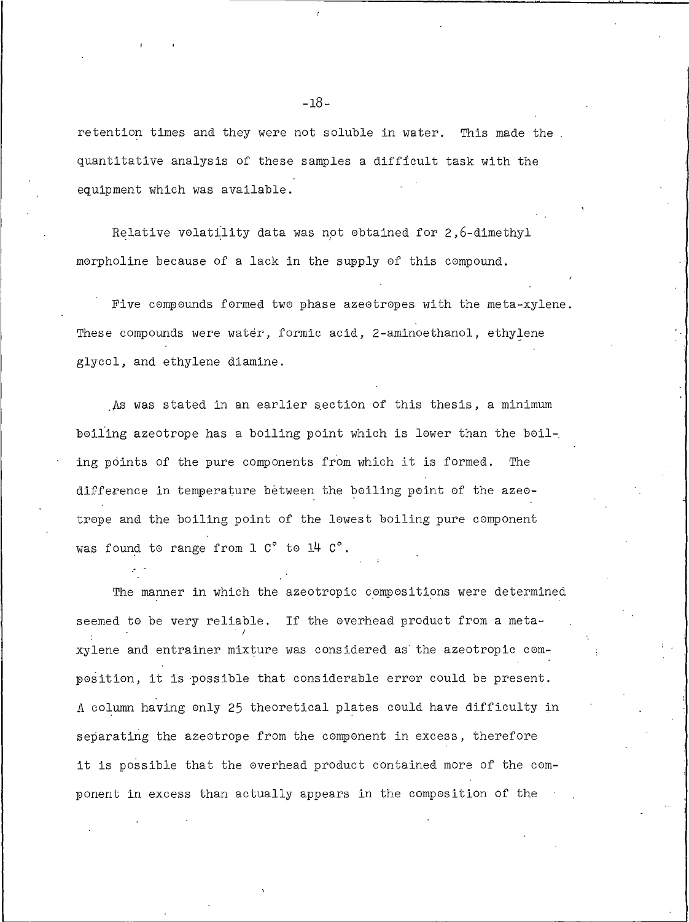retention times and they were not soluble in water. This made the quantitative analysis of these samples a difficult task with the equipment which was available.

Relative volatility data was not obtained for 2,6-dimethyl morpholine because of a lack in the supply of this compound.

Five compounds formed two phase azeotropes with the meta-xylene. These compounds were water, formic acid, 2-aminoethanol, ethylene glycol, and ethylene diamine.

As was stated in an earlier section of this thesis, a minimum boiling azeotrope has a boiling point which is lower than the boiling points of the pure components from which it is formed. The difference in temperature between the boiling point of the azeotrope and the boiling point of the lowest boiling pure component was found to range from 1 C° to 14 C°.

The manner in which the azeotropic compositions were determined seemed to be very reliable. If the overhead product from a metaxylene and entrainer mixture was considered as the azeotropic composition, it is possible that considerable error could be present. A column having only 25 theoretical plates could have difficulty in separating the azeotrope from the component in excess, therefore it is possible that the overhead product contained more of the component in excess than actually appears in the composition of the

 $-18-$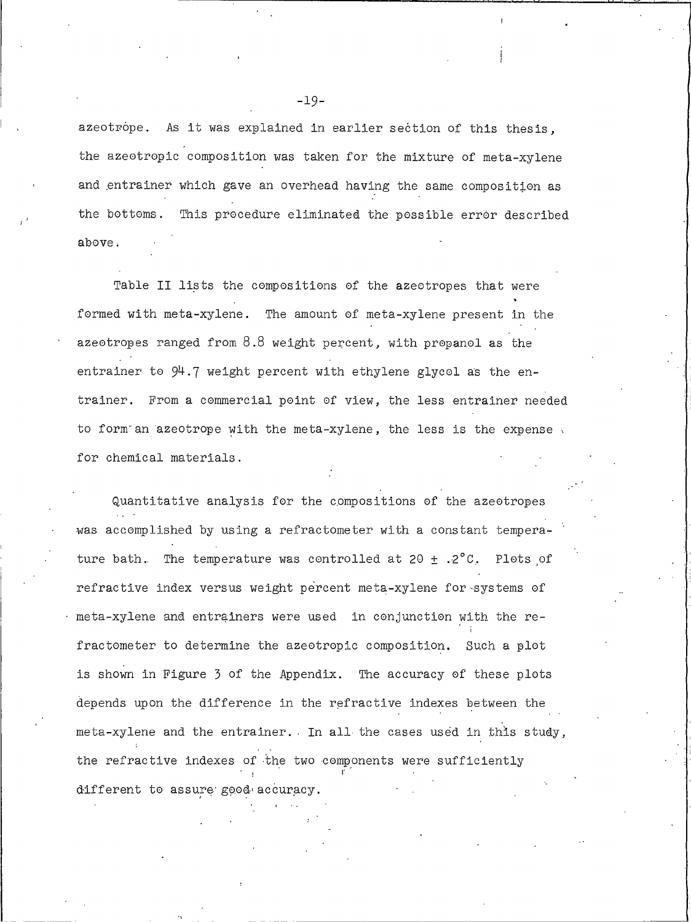azeotrope. As it was explained in earlier section of this thesis. the azeotropic composition was taken for the mixture of meta-xylene and entrainer which gave an overhead having the same composition as the bottoms. This procedure eliminated the possible error described above.

Table II lists the compositions of the azeotropes that were formed with meta-xylene. The amount of meta-xylene present in the azeotropes ranged from 8.8 weight percent, with propanol as the entrainer to  $94.7$  weight percent with ethylene glycol as the entrainer. From a commercial point of view, the less entrainer needed to form an azeotrope with the meta-xylene, the less is the expense. for chemical materials.

Quantitative analysis for the compositions of the azeotropes was accomplished by using a refractometer with a constant temperature bath. The temperature was controlled at 20  $\pm$  .2°C. Plots of refractive index versus weight percent meta-xylene for systems of meta-xylene and entrainers were used in conjunction with the refractometer to determine the azeotropic composition. Such a plot is shown in Figure 3 of the Appendix. The accuracy of these plots depends upon the difference in the refractive indexes between the meta-xylene and the entrainer. In all the cases used in this study, the refractive indexes of the two components were sufficiently different to assure good accuracy.

 $-19-$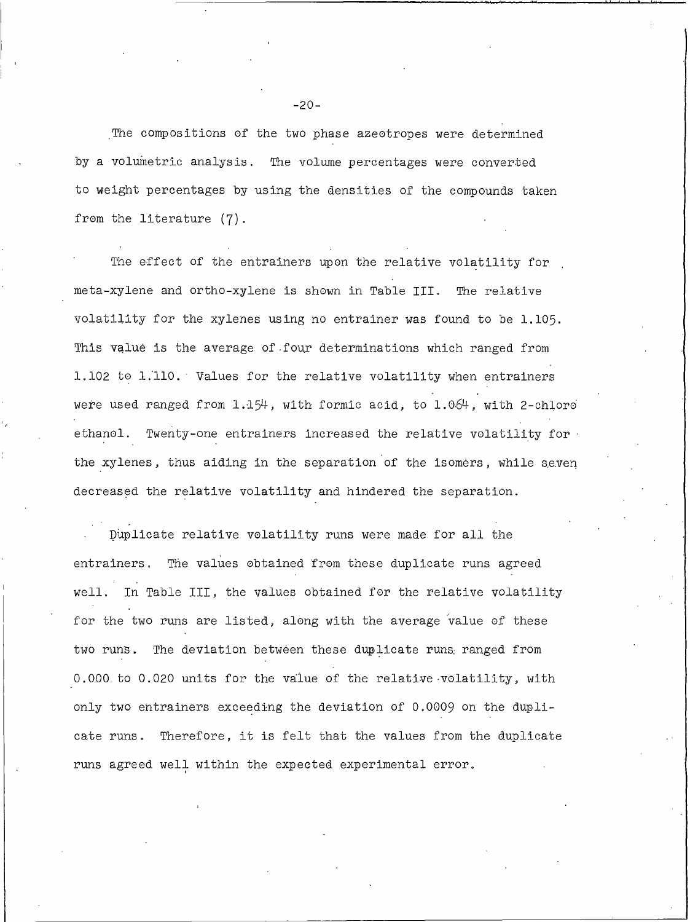The compositions of the two phase azeotropes were determined by a volumetric analysis. The volume percentages were converted to weight percentages by using the densities of the compounds taken from the literature (7).

The effect of the entrainers upon the relative volatility for meta-xylene and ortho-xylene is shown in Table III. The relative volatility for the xylenes using no entrainer was found to be 1.105. This value is the average of four determinations which ranged from 1.102 to 1.110. Values for the relative volatility when entrainers were used ranged from 1.154, with formic acid, to 1.064, with 2-chloro ethanol. Twenty-one entrainers increased the relative volatility for the xylenes, thus aiding in the separation of the isomers, while seven decreased the relative volatility and hindered the separation.

Duplicate relative volatility runs were made for all the entrainers. The values obtained from these duplicate runs agreed well. In Table III, the values obtained for the relative volatility for the two runs are listed, along with the average value of these two runs. The deviation between these duplicate runs ranged from 0.000 to 0.020 units for the value of the relative volatility, with only two entrainers exceeding the deviation of 0.0009 on the duplicate runs. Therefore, it is felt that the values from the duplicate runs agreed well within the expected experimental error.

 $-20-$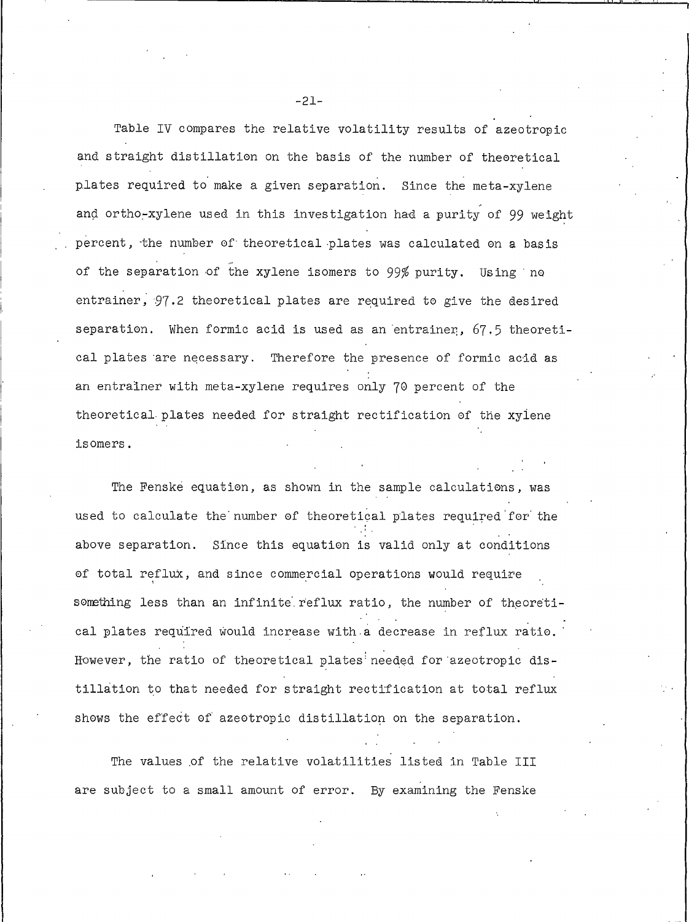Table IV compares the relative volatility results of azeotropic and straight distillation on the basis of the number of theoretical plates required to make a given separation. Since the meta-xylene and ortho-xylene used in this investigation had a purity of 99 weight percent, the number of theoretical plates was calculated on a basis of the separation of the xylene isomers to 99% purity. Using no entrainer, 97.2 theoretical plates are required to give the desired separation. When formic acid is used as an entrainer, 67.5 theoretical plates are necessary. Therefore the presence of formic acid as an entrainer with meta-xylene requires only 70 percent of the theoretical plates needed for straight rectification of the xylene isomers.

The Fenske equation, as shown in the sample calculations, was used to calculate the number of theoretical plates required for the above separation. Since this equation is valid only at conditions of total reflux, and since commercial operations would require something less than an infinite reflux ratio, the number of theoretical plates required would increase with a decrease in reflux ratio. However, the ratio of theoretical plates needed for azeotropic distillation to that needed for straight rectification at total reflux shows the effect of azeotropic distillation on the separation.

The values of the relative volatilities listed in Table III are subject to a small amount of error. By examining the Fenske

 $-21-$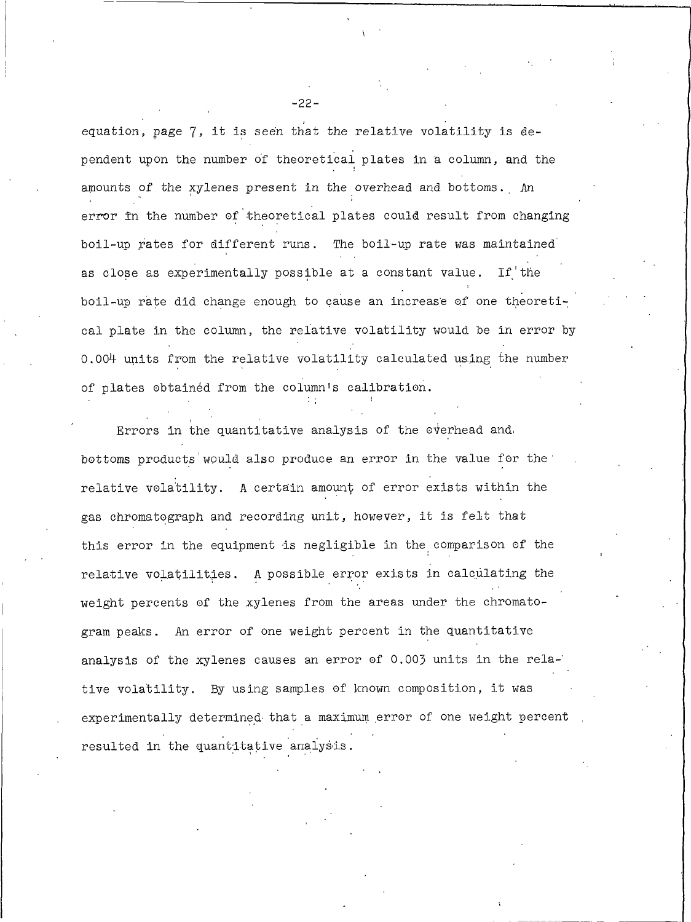equation, page 7, it is seen that the relative volatility is dependent upon the number of theoretical plates in a column, and the amounts of the xylenes present in the overhead and bottoms. An error in the number of theoretical plates could result from changing boil-up rates for different runs. The boil-up rate was maintained as close as experimentally possible at a constant value. If the boil-up rate did change enough to cause an increase of one theoretical plate in the column, the relative volatility would be in error by 0.004 units from the relative volatility calculated using the number of plates obtained from the column's calibration.

Errors in the quantitative analysis of the overhead and. bottoms products would also produce an error in the value for the relative volatility. A certain amount of error exists within the gas chromatograph and recording unit, however, it is felt that this error in the equipment is negligible in the comparison of the relative volatilities. A possible error exists in calculating the weight percents of the xylenes from the areas under the chromatogram peaks. An error of one weight percent in the quantitative analysis of the xylenes causes an error of 0.003 units in the relative volatility. By using samples of known composition, it was experimentally determined that a maximum error of one weight percent resulted in the quantitative analysis.

 $-22-$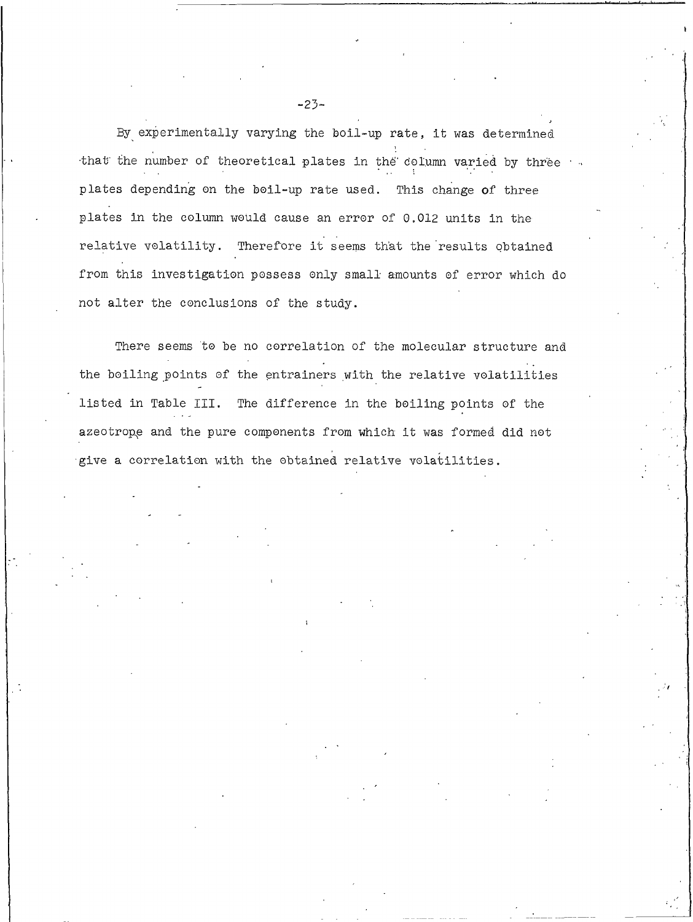By experimentally varying the boil-up rate, it was determined that the number of theoretical plates in the column varied by three plates depending on the boil-up rate used. This change of three plates in the column would cause an error of 0.012 units in the relative volatility. Therefore it seems that the results obtained from this investigation possess only small amounts of error which do not alter the conclusions of the study.

There seems to be no correlation of the molecular structure and the boiling points of the entrainers with the relative volatilities listed in Table III. The difference in the boiling points of the azeotrope and the pure components from which it was formed did not give a correlation with the obtained relative volatilities.

 $-23-$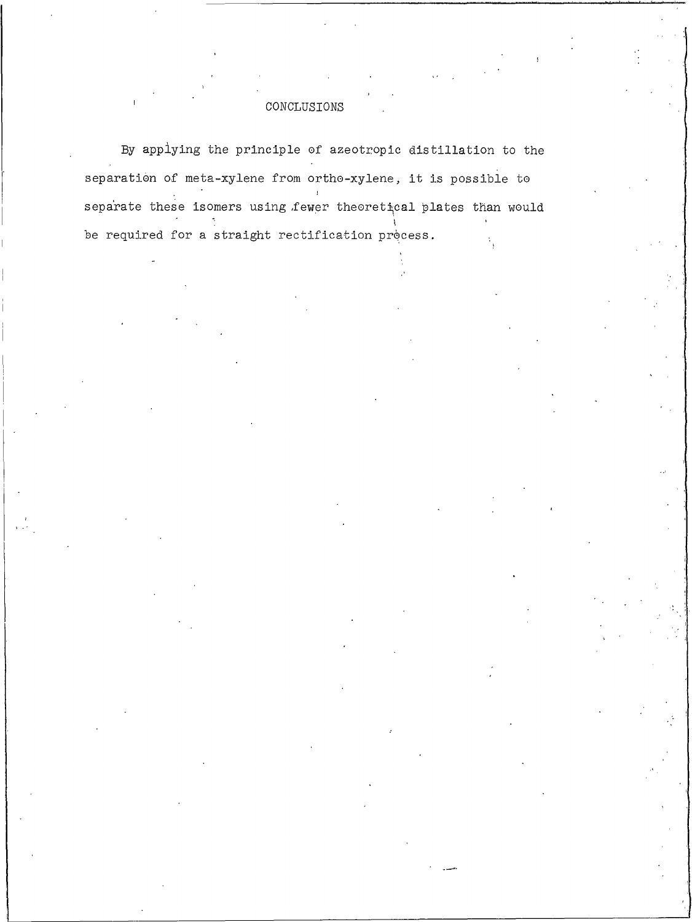## CONCLUSIONS

By applying the principle of azeotropic distillation to the separation of meta-xylene from ortho-xylene, it is possible to separate these isomers using fewer theoretical plates than would be required for a straight rectification process.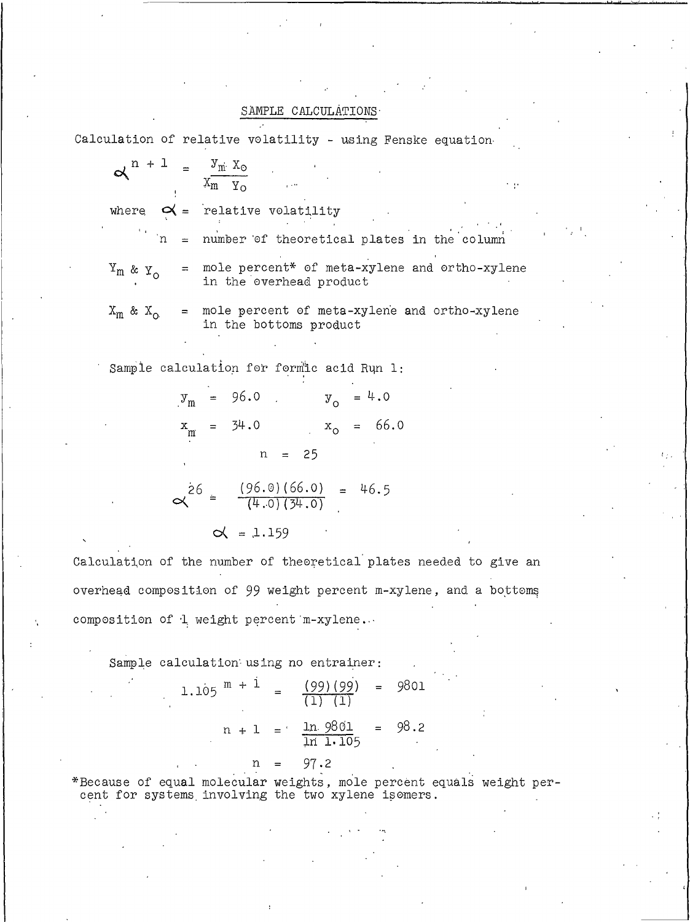## SAMPLE CALCULATIONS

Calculation of relative volatility - using Fenske equation

$$
\alpha^{n+1} = \frac{y_m \cdot x_o}{x_m \cdot y_o}
$$
  
\nwhere  $\alpha = \text{relative volatility}$   
\n $\therefore$  in = number of theoretical plates in the column  
\n $\alpha \cdot y_o$  = mole percent\* of meta-xylene and ortho-xylene  
\nin the overhead product  
\n $x_m \& x_o$  = mole percent of meta-xylene and ortho-xylene  
\nin the bottoms product  
\nSample calculation for formic acid Run 1:

$$
y_m = 96.0
$$
  $y_o = 4.0$   
 $x_m = 34.0$   $x_o = 66.0$   
 $n = 25$ 

$$
\times^{26} = \frac{(96.0)(66.0)}{(\frac{4.0}{34.0})} = 46.5
$$

 $\alpha = 1.159$ 

Calculation of the number of theoretical plates needed to give an overhead composition of 99 weight percent m-xylene, and a bottoms composition of 1 weight percent m-xylene...

Sample calculation using no entrainer:

1.105 
$$
m + 1 = \frac{(99)(99)}{(1)(1)} = 9801
$$
  
\n $n + 1 = \frac{\ln 9801}{\ln 1.105} = 98.2$   
\n $n = 97.2$ 

\*Because of equal molecular weights, mole percent equals weight percent for systems involving the two xylene isomers.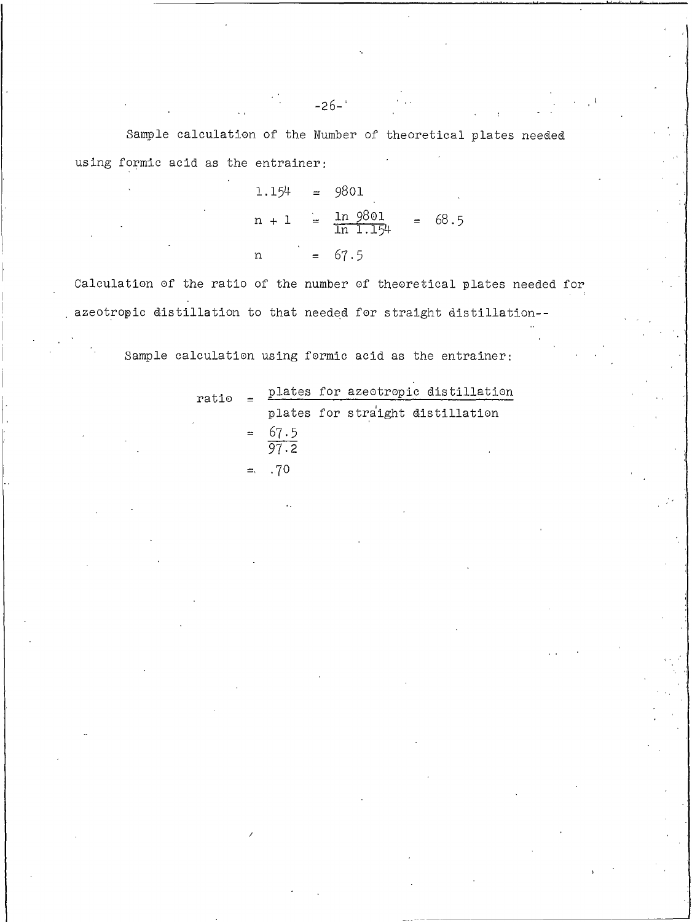Sample calculation of the Number of theoretical plates needed using formic acid as the entrainer:

> $1.154 = 9801$  $n + 1 = \frac{\ln 9801}{\ln 1.154}$  $= 68.5$  $= 67.5$  $\mathbf n$

Calculation of the ratio of the number of theoretical plates needed for azeotropic distillation to that needed for straight distillation--

Sample calculation using formic acid as the entrainer:

| ratio |  |          | plates for azeotropic distillation |  |  |
|-------|--|----------|------------------------------------|--|--|
|       |  |          | plates for straight distillation   |  |  |
|       |  | $= 67.5$ |                                    |  |  |
|       |  | 97.2     |                                    |  |  |
|       |  | $= 10$   |                                    |  |  |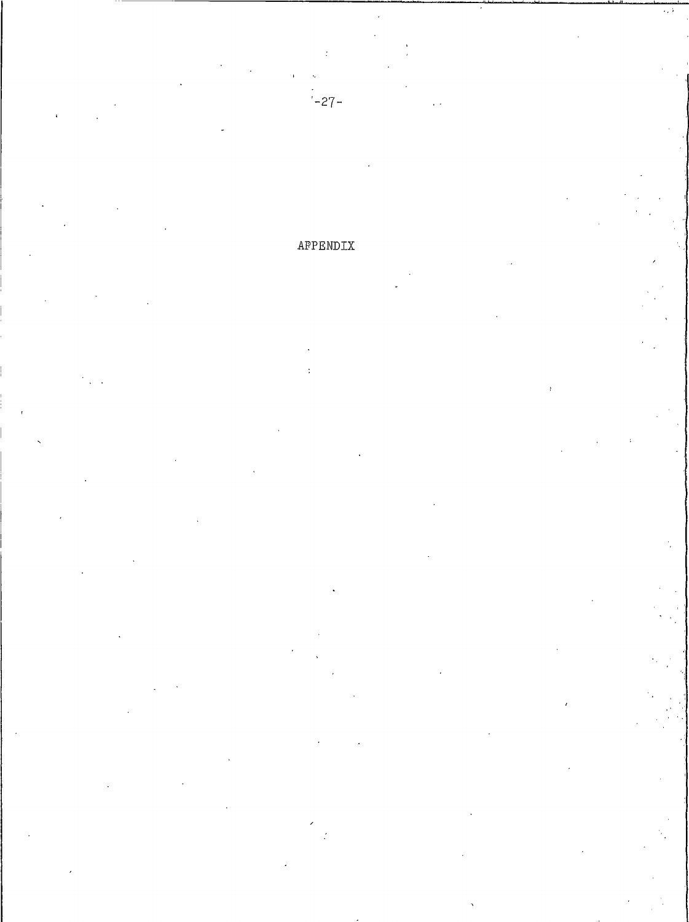# APPENDIX

 $-27-$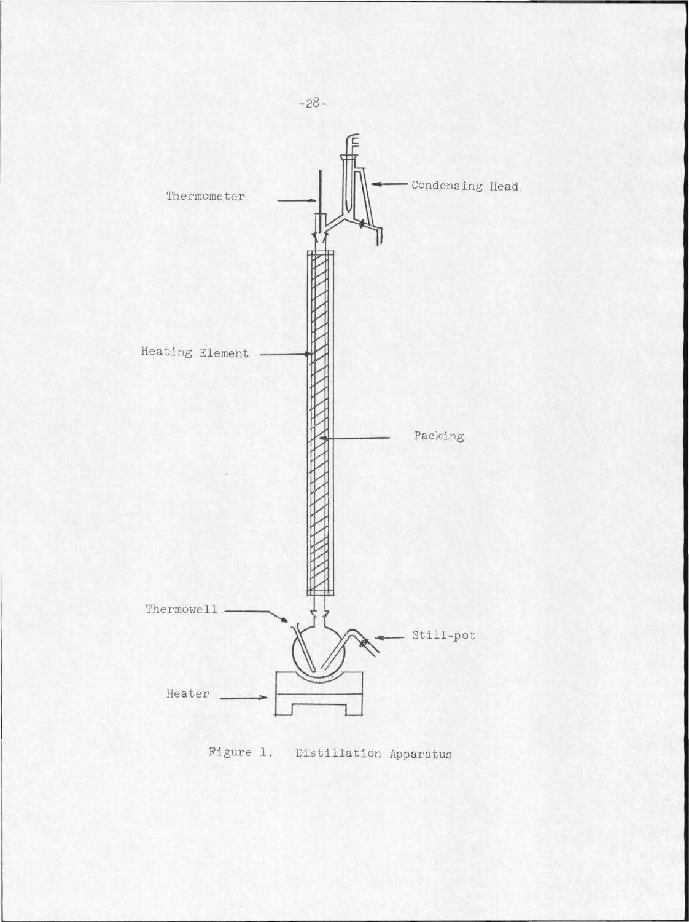